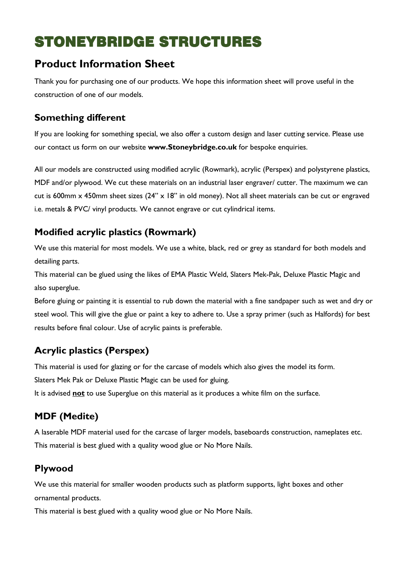# STONEYBRIDGE STRUCTURES

# **Product Information Sheet**

Thank you for purchasing one of our products. We hope this information sheet will prove useful in the construction of one of our models.

#### **Something different**

If you are looking for something special, we also offer a custom design and laser cutting service. Please use our contact us form on our website **www.Stoneybridge.co.uk** for bespoke enquiries.

All our models are constructed using modified acrylic (Rowmark), acrylic (Perspex) and polystyrene plastics, MDF and/or plywood. We cut these materials on an industrial laser engraver/ cutter. The maximum we can cut is 600mm x 450mm sheet sizes (24" x 18" in old money). Not all sheet materials can be cut or engraved i.e. metals & PVC/ vinyl products. We cannot engrave or cut cylindrical items.

## **Modified acrylic plastics (Rowmark)**

We use this material for most models. We use a white, black, red or grey as standard for both models and detailing parts.

This material can be glued using the likes of EMA Plastic Weld, Slaters Mek-Pak, Deluxe Plastic Magic and also superglue.

Before gluing or painting it is essential to rub down the material with a fine sandpaper such as wet and dry or steel wool. This will give the glue or paint a key to adhere to. Use a spray primer (such as Halfords) for best results before final colour. Use of acrylic paints is preferable.

# **Acrylic plastics (Perspex)**

This material is used for glazing or for the carcase of models which also gives the model its form. Slaters Mek Pak or Deluxe Plastic Magic can be used for gluing.

It is advised **not** to use Superglue on this material as it produces a white film on the surface.

# **MDF (Medite)**

A laserable MDF material used for the carcase of larger models, baseboards construction, nameplates etc. This material is best glued with a quality wood glue or No More Nails.

#### **Plywood**

We use this material for smaller wooden products such as platform supports, light boxes and other ornamental products.

This material is best glued with a quality wood glue or No More Nails.